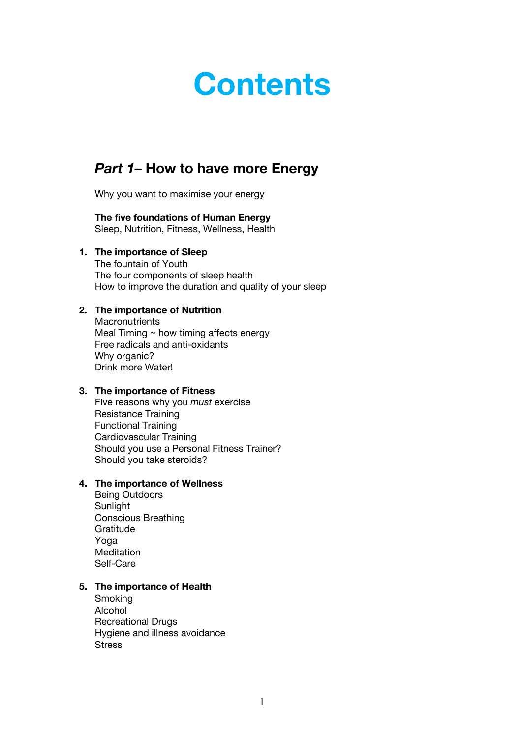# **Contents**

# *Part 1*– **How to have more Energy**

Why you want to maximise your energy

#### **The five foundations of Human Energy** Sleep, Nutrition, Fitness, Wellness, Health

## **1. The importance of Sleep**

The fountain of Youth The four components of sleep health How to improve the duration and quality of your sleep

## **2. The importance of Nutrition**

**Macronutrients** Meal Timing  $\sim$  how timing affects energy Free radicals and anti-oxidants Why organic? Drink more Water!

## **3. The importance of Fitness**

Five reasons why you *must* exercise Resistance Training Functional Training Cardiovascular Training Should you use a Personal Fitness Trainer? Should you take steroids?

## **4. The importance of Wellness**

Being Outdoors **Sunlight** Conscious Breathing Gratitude Yoga Meditation Self-Care

## **5. The importance of Health**

Smoking Alcohol Recreational Drugs Hygiene and illness avoidance **Stress**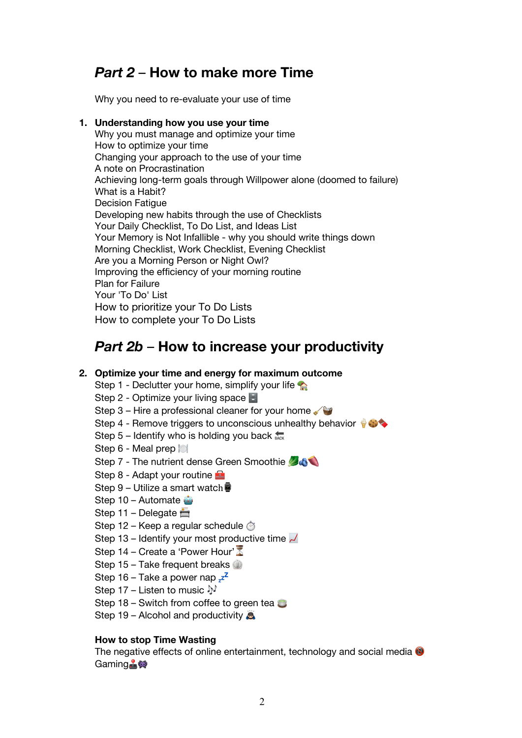## *Part 2* – **How to make more Time**

Why you need to re-evaluate your use of time

## **1. Understanding how you use your time**

Why you must manage and optimize your time How to optimize your time Changing your approach to the use of your time A note on Procrastination Achieving long-term goals through Willpower alone (doomed to failure) What is a Habit? Decision Fatigue Developing new habits through the use of Checklists Your Daily Checklist, To Do List, and Ideas List Your Memory is Not Infallible - why you should write things down Morning Checklist, Work Checklist, Evening Checklist Are you a Morning Person or Night Owl? Improving the efficiency of your morning routine Plan for Failure Your 'To Do' List How to prioritize your To Do Lists How to complete your To Do Lists

## *Part 2b* – **How to increase your productivity**

## **2. Optimize your time and energy for maximum outcome**

- Step 1 Declutter your home, simplify your life  $\triangle$
- Step 2 Optimize your living space  $\blacksquare$
- Step 3 Hire a professional cleaner for your home  $\sqrt{3}$
- Step 4 Remove triggers to unconscious unhealthy behavior  $\bullet$
- Step  $5$  Identify who is holding you back  $_{\text{back}}$
- Step 6 Meal prep
- Step 7 The nutrient dense Green Smoothie
- Step 8 Adapt your routine
- Step 9 Utilize a smart watch
- Step  $10 -$  Automate
- Step 11 Delegate  $\triangle$
- Step 12 Keep a regular schedule  $\otimes$
- Step 13 Identify your most productive time  $\sim$
- Step 14 Create a 'Power Hour' $\overline{\mathbb{Z}}$
- Step 15 Take frequent breaks  $\mathbb{Q}$
- Step 16 Take a power nap  $z^2$
- Step 17 Listen to music  $\mathbb{N}$
- Step 18 Switch from coffee to green tea  $\bullet$
- Step 19 Alcohol and productivity  $\bullet$

## **How to stop Time Wasting**

The negative effects of online entertainment, technology and social media  $\bullet$ Gaming**,**變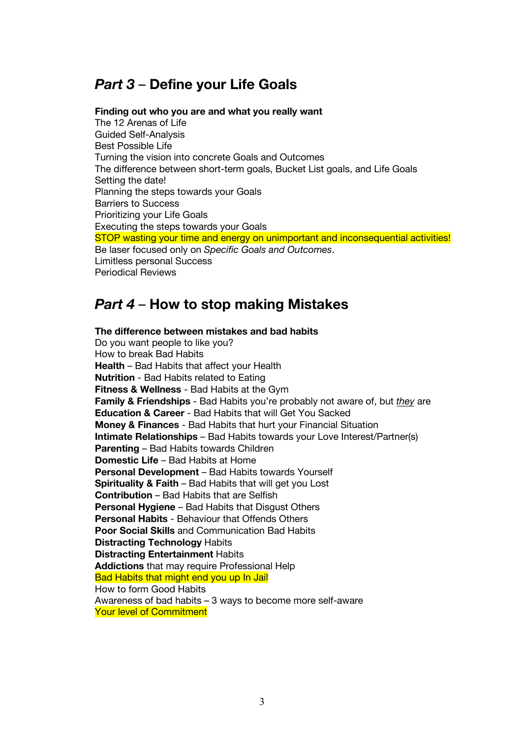# *Part 3* – **Define your Life Goals**

#### **Finding out who you are and what you really want**

The 12 Arenas of Life Guided Self-Analysis Best Possible Life Turning the vision into concrete Goals and Outcomes The difference between short-term goals, Bucket List goals, and Life Goals Setting the date! Planning the steps towards your Goals Barriers to Success Prioritizing your Life Goals Executing the steps towards your Goals STOP wasting your time and energy on unimportant and inconsequential activities! Be laser focused only on *Specific Goals and Outcomes*. Limitless personal Success Periodical Reviews

## *Part 4* – **How to stop making Mistakes**

**The difference between mistakes and bad habits** Do you want people to like you? How to break Bad Habits **Health** – Bad Habits that affect your Health **Nutrition** - Bad Habits related to Eating **Fitness & Wellness** - Bad Habits at the Gym **Family & Friendships** - Bad Habits you're probably not aware of, but *they* are **Education & Career** - Bad Habits that will Get You Sacked **Money & Finances** - Bad Habits that hurt your Financial Situation **Intimate Relationships** – Bad Habits towards your Love Interest/Partner(s) **Parenting** – Bad Habits towards Children **Domestic Life** – Bad Habits at Home **Personal Development** – Bad Habits towards Yourself **Spirituality & Faith** – Bad Habits that will get you Lost **Contribution** – Bad Habits that are Selfish **Personal Hygiene** – Bad Habits that Disgust Others **Personal Habits** - Behaviour that Offends Others **Poor Social Skills** and Communication Bad Habits **Distracting Technology** Habits **Distracting Entertainment** Habits **Addictions** that may require Professional Help Bad Habits that might end you up In Jail How to form Good Habits Awareness of bad habits – 3 ways to become more self-aware Your level of Commitment